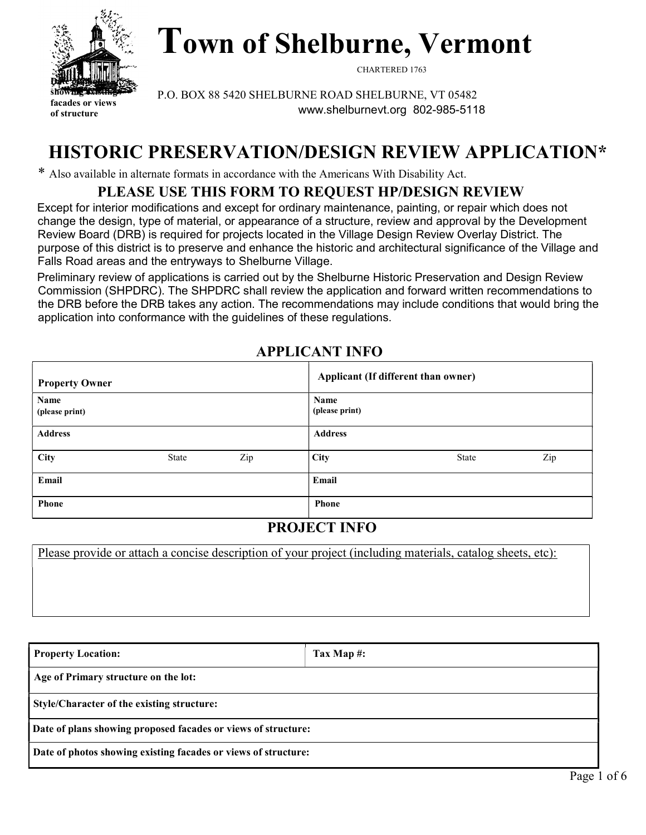

Town of Shelburne, Vermont

CHARTERED 1763

P.O. BOX 88 5420 SHELBURNE ROAD SHELBURNE, VT 05482 www.shelburnevt.org 802-985-5118

# HISTORIC PRESERVATION/DESIGN REVIEW APPLICATION\*

\* Also available in alternate formats in accordance with the Americans With Disability Act.

## PLEASE USE THIS FORM TO REQUEST HP/DESIGN REVIEW

Except for interior modifications and except for ordinary maintenance, painting, or repair which does not change the design, type of material, or appearance of a structure, review and approval by the Development Review Board (DRB) is required for projects located in the Village Design Review Overlay District. The purpose of this district is to preserve and enhance the historic and architectural significance of the Village and Falls Road areas and the entryways to Shelburne Village.

Preliminary review of applications is carried out by the Shelburne Historic Preservation and Design Review Commission (SHPDRC). The SHPDRC shall review the application and forward written recommendations to the DRB before the DRB takes any action. The recommendations may include conditions that would bring the application into conformance with the guidelines of these regulations.

| <b>Property Owner</b>  |       |     |                        | Applicant (If different than owner) |     |
|------------------------|-------|-----|------------------------|-------------------------------------|-----|
| Name<br>(please print) |       |     | Name<br>(please print) |                                     |     |
| <b>Address</b>         |       |     | <b>Address</b>         |                                     |     |
| City                   | State | Zip | <b>City</b>            | State                               | Zip |
| Email                  |       |     | Email                  |                                     |     |
| Phone                  |       |     | <b>Phone</b>           |                                     |     |

### APPLICANT INFO

### PROJECT INFO

Please provide or attach a concise description of your project (including materials, catalog sheets, etc):

| <b>Property Location:</b>                                      | Tax Map $\#$ : |  |  |  |  |
|----------------------------------------------------------------|----------------|--|--|--|--|
| Age of Primary structure on the lot:                           |                |  |  |  |  |
| Style/Character of the existing structure:                     |                |  |  |  |  |
| Date of plans showing proposed facades or views of structure:  |                |  |  |  |  |
| Date of photos showing existing facades or views of structure: |                |  |  |  |  |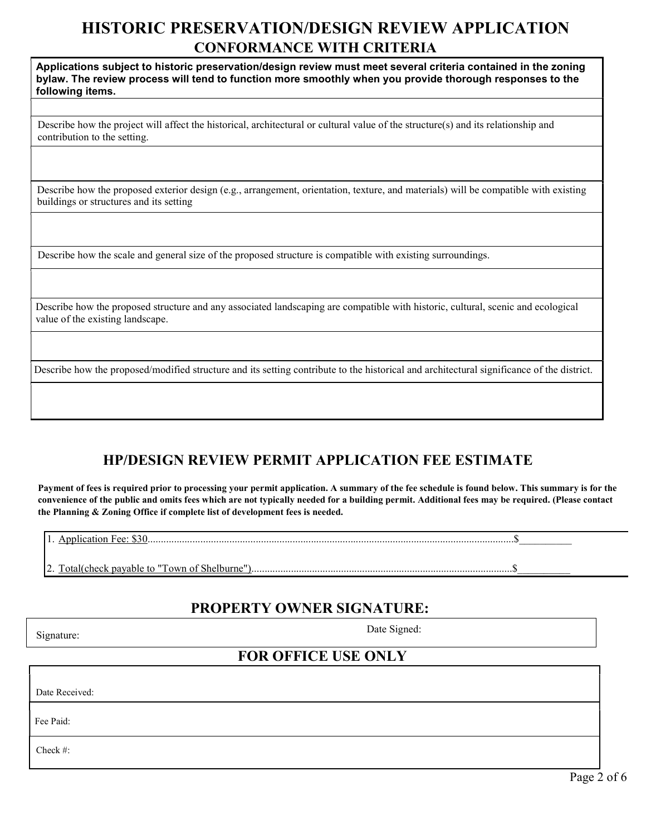## HISTORIC PRESERVATION/DESIGN REVIEW APPLICATION CONFORMANCE WITH CRITERIA

Applications subject to historic preservation/design review must meet several criteria contained in the zoning bylaw. The review process will tend to function more smoothly when you provide thorough responses to the following items.

Describe how the project will affect the historical, architectural or cultural value of the structure(s) and its relationship and contribution to the setting.

Describe how the proposed exterior design (e.g., arrangement, orientation, texture, and materials) will be compatible with existing buildings or structures and its setting

Describe how the scale and general size of the proposed structure is compatible with existing surroundings.

Describe how the proposed structure and any associated landscaping are compatible with historic, cultural, scenic and ecological value of the existing landscape.

Describe how the proposed/modified structure and its setting contribute to the historical and architectural significance of the district.

### HP/DESIGN REVIEW PERMIT APPLICATION FEE ESTIMATE

Payment of fees is required prior to processing your permit application. A summary of the fee schedule is found below. This summary is for the convenience of the public and omits fees which are not typically needed for a building permit. Additional fees may be required. (Please contact the Planning & Zoning Office if complete list of development fees is needed.

1. Application Fee: \$30...........................................................................................................................................\$\_\_\_\_\_\_\_\_\_\_

2. Total(check payable to "Town of Shelburne")...................................................................................................\$\_\_\_\_\_\_\_\_\_\_

#### PROPERTY OWNER SIGNATURE:

Check #:

Signature: Date Signed: Date Signed:

### FOR OFFICE USE ONLY

Date Received: Fee Paid: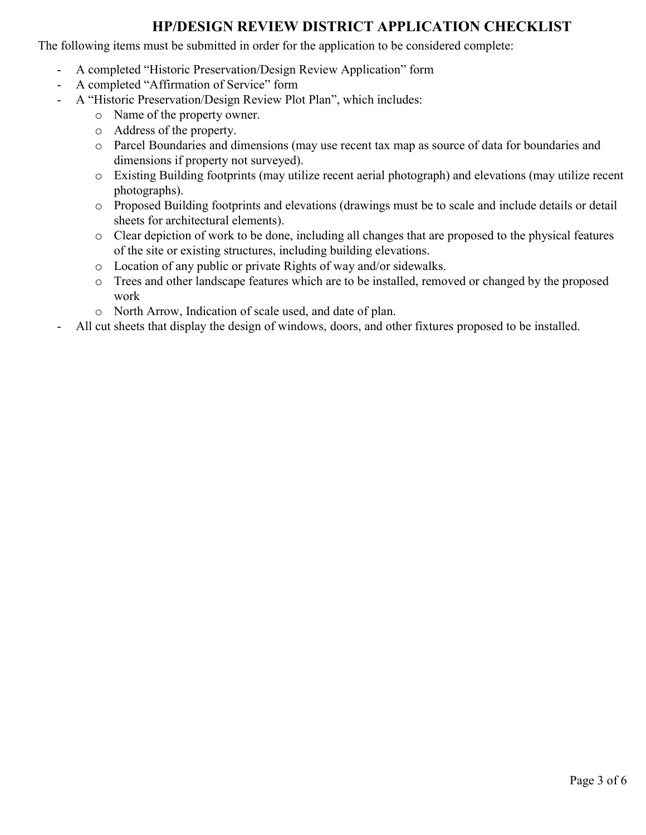### HP/DESIGN REVIEW DISTRICT APPLICATION CHECKLIST

The following items must be submitted in order for the application to be considered complete:

- A completed "Historic Preservation/Design Review Application" form
- A completed "Affirmation of Service" form
	- A "Historic Preservation/Design Review Plot Plan", which includes:
		- o Name of the property owner.
		- o Address of the property.
		- o Parcel Boundaries and dimensions (may use recent tax map as source of data for boundaries and dimensions if property not surveyed).
		- o Existing Building footprints (may utilize recent aerial photograph) and elevations (may utilize recent photographs).
		- o Proposed Building footprints and elevations (drawings must be to scale and include details or detail sheets for architectural elements).
		- o Clear depiction of work to be done, including all changes that are proposed to the physical features of the site or existing structures, including building elevations.
		- o Location of any public or private Rights of way and/or sidewalks.
		- o Trees and other landscape features which are to be installed, removed or changed by the proposed work
		- o North Arrow, Indication of scale used, and date of plan.
- All cut sheets that display the design of windows, doors, and other fixtures proposed to be installed.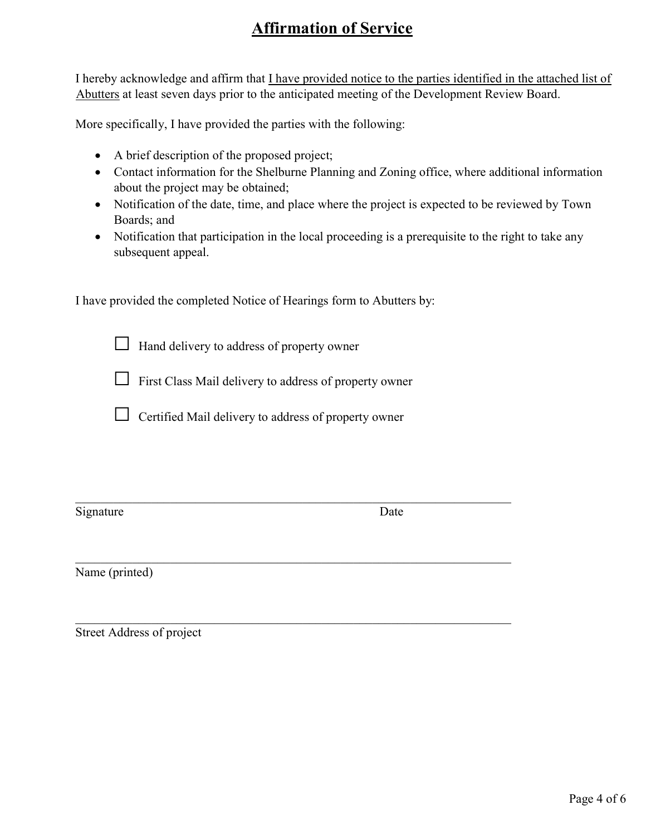## Affirmation of Service

I hereby acknowledge and affirm that I have provided notice to the parties identified in the attached list of Abutters at least seven days prior to the anticipated meeting of the Development Review Board.

More specifically, I have provided the parties with the following:

- A brief description of the proposed project;
- Contact information for the Shelburne Planning and Zoning office, where additional information about the project may be obtained;
- Notification of the date, time, and place where the project is expected to be reviewed by Town Boards; and
- Notification that participation in the local proceeding is a prerequisite to the right to take any subsequent appeal.

I have provided the completed Notice of Hearings form to Abutters by:

 $\Box$  Hand delivery to address of property owner

 $\Box$  First Class Mail delivery to address of property owner

 $\Box$  Certified Mail delivery to address of property owner

Signature Date

Name (printed)

Street Address of project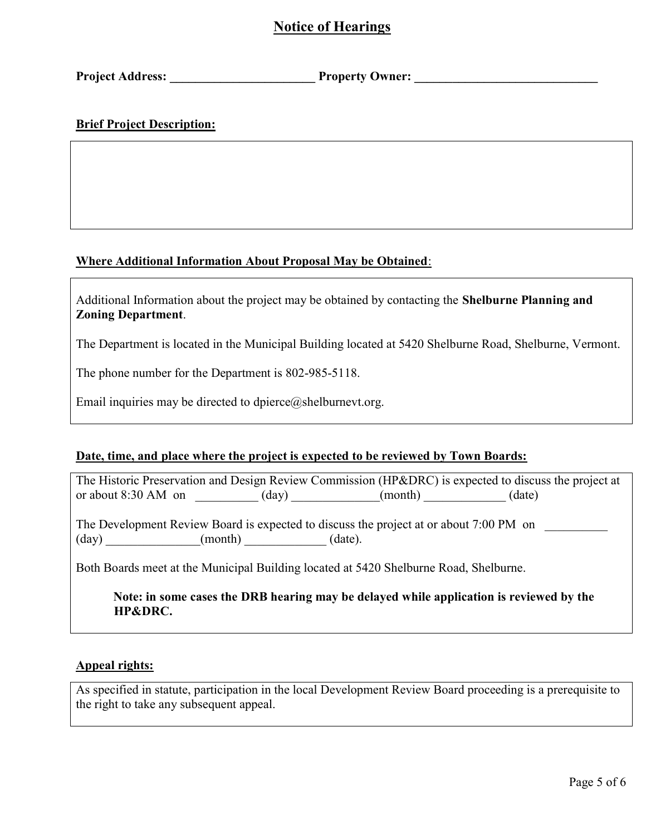### Notice of Hearings

Project Address: The Property Owner:

#### Brief Project Description:

#### Where Additional Information About Proposal May be Obtained:

Additional Information about the project may be obtained by contacting the Shelburne Planning and Zoning Department.

The Department is located in the Municipal Building located at 5420 Shelburne Road, Shelburne, Vermont.

The phone number for the Department is 802-985-5118.

Email inquiries may be directed to dpierce $@$ shelburnevt.org.

#### Date, time, and place where the project is expected to be reviewed by Town Boards:

The Historic Preservation and Design Review Commission (HP&DRC) is expected to discuss the project at or about  $8:30 \text{ AM}$  on  $(\text{day})$   $(\text{month})$   $(\text{date})$ 

The Development Review Board is expected to discuss the project at or about 7:00 PM on  $(\text{day})$   $(\text{month})$   $(\text{date})$ .

Both Boards meet at the Municipal Building located at 5420 Shelburne Road, Shelburne.

Note: in some cases the DRB hearing may be delayed while application is reviewed by the HP&DRC.

#### Appeal rights:

As specified in statute, participation in the local Development Review Board proceeding is a prerequisite to the right to take any subsequent appeal.